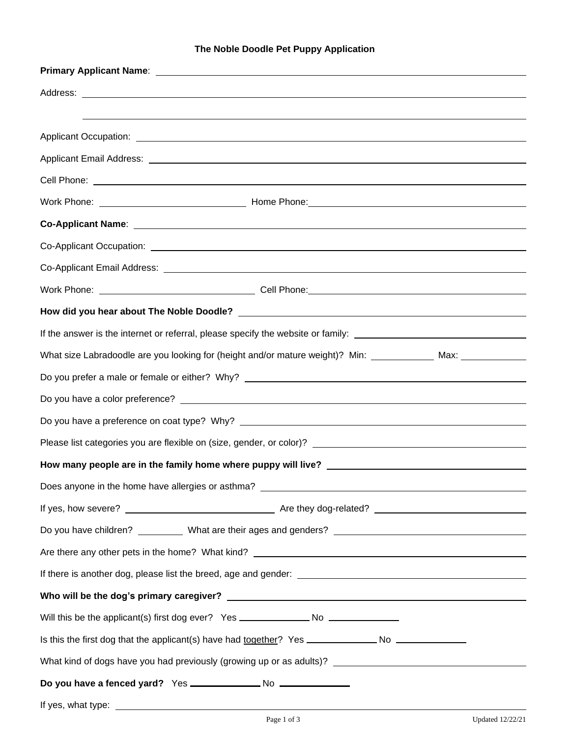## **The Noble Doodle Pet Puppy Application**

| If the answer is the internet or referral, please specify the website or family: _____________________________                                                                                                                       |  |  |  |  |  |
|--------------------------------------------------------------------------------------------------------------------------------------------------------------------------------------------------------------------------------------|--|--|--|--|--|
| What size Labradoodle are you looking for (height and/or mature weight)? Min: _____________ Max: ____________                                                                                                                        |  |  |  |  |  |
|                                                                                                                                                                                                                                      |  |  |  |  |  |
|                                                                                                                                                                                                                                      |  |  |  |  |  |
|                                                                                                                                                                                                                                      |  |  |  |  |  |
|                                                                                                                                                                                                                                      |  |  |  |  |  |
|                                                                                                                                                                                                                                      |  |  |  |  |  |
|                                                                                                                                                                                                                                      |  |  |  |  |  |
|                                                                                                                                                                                                                                      |  |  |  |  |  |
|                                                                                                                                                                                                                                      |  |  |  |  |  |
|                                                                                                                                                                                                                                      |  |  |  |  |  |
|                                                                                                                                                                                                                                      |  |  |  |  |  |
|                                                                                                                                                                                                                                      |  |  |  |  |  |
| Will this be the applicant(s) first dog ever? Yes _______________________________                                                                                                                                                    |  |  |  |  |  |
| Is this the first dog that the applicant(s) have had together? Yes _______________ No ______________                                                                                                                                 |  |  |  |  |  |
|                                                                                                                                                                                                                                      |  |  |  |  |  |
|                                                                                                                                                                                                                                      |  |  |  |  |  |
| If yes, what type: <u>contract the contract of the set of the set of the set of the set of the set of the set of the set of the set of the set of the set of the set of the set of the set of the set of the set of the set of t</u> |  |  |  |  |  |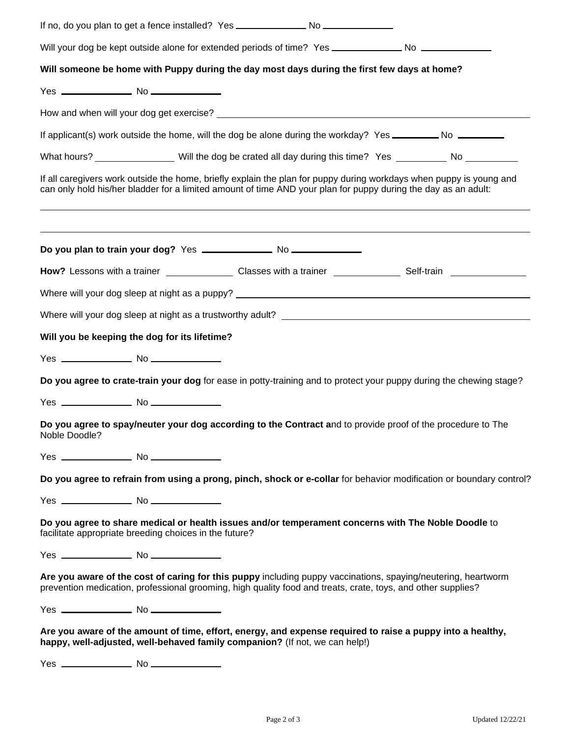| Will your dog be kept outside alone for extended periods of time? Yes ________________No _________________ |  |                                                                                                                |                                                                                                                     |
|------------------------------------------------------------------------------------------------------------|--|----------------------------------------------------------------------------------------------------------------|---------------------------------------------------------------------------------------------------------------------|
| Will someone be home with Puppy during the day most days during the first few days at home?                |  |                                                                                                                |                                                                                                                     |
|                                                                                                            |  |                                                                                                                |                                                                                                                     |
|                                                                                                            |  |                                                                                                                |                                                                                                                     |
|                                                                                                            |  |                                                                                                                | If applicant(s) work outside the home, will the dog be alone during the workday? Yes _________ No _________         |
|                                                                                                            |  |                                                                                                                | What hours? __________________ Will the dog be crated all day during this time? Yes __________ No _________         |
|                                                                                                            |  | can only hold his/her bladder for a limited amount of time AND your plan for puppy during the day as an adult: | If all caregivers work outside the home, briefly explain the plan for puppy during workdays when puppy is young and |
|                                                                                                            |  |                                                                                                                |                                                                                                                     |
|                                                                                                            |  |                                                                                                                |                                                                                                                     |
|                                                                                                            |  |                                                                                                                |                                                                                                                     |
|                                                                                                            |  |                                                                                                                |                                                                                                                     |
| Will you be keeping the dog for its lifetime?                                                              |  |                                                                                                                |                                                                                                                     |
|                                                                                                            |  |                                                                                                                |                                                                                                                     |
|                                                                                                            |  |                                                                                                                | Do you agree to crate-train your dog for ease in potty-training and to protect your puppy during the chewing stage? |
|                                                                                                            |  |                                                                                                                |                                                                                                                     |
| Noble Doodle?                                                                                              |  |                                                                                                                | Do you agree to spay/neuter your dog according to the Contract and to provide proof of the procedure to The         |
|                                                                                                            |  |                                                                                                                |                                                                                                                     |
|                                                                                                            |  |                                                                                                                | Do you agree to refrain from using a prong, pinch, shock or e-collar for behavior modification or boundary control? |
|                                                                                                            |  |                                                                                                                |                                                                                                                     |
| facilitate appropriate breeding choices in the future?                                                     |  |                                                                                                                | Do you agree to share medical or health issues and/or temperament concerns with The Noble Doodle to                 |
|                                                                                                            |  |                                                                                                                |                                                                                                                     |
|                                                                                                            |  | prevention medication, professional grooming, high quality food and treats, crate, toys, and other supplies?   | Are you aware of the cost of caring for this puppy including puppy vaccinations, spaying/neutering, heartworm       |
|                                                                                                            |  |                                                                                                                |                                                                                                                     |
| happy, well-adjusted, well-behaved family companion? (If not, we can help!)                                |  |                                                                                                                | Are you aware of the amount of time, effort, energy, and expense required to raise a puppy into a healthy,          |
|                                                                                                            |  |                                                                                                                |                                                                                                                     |